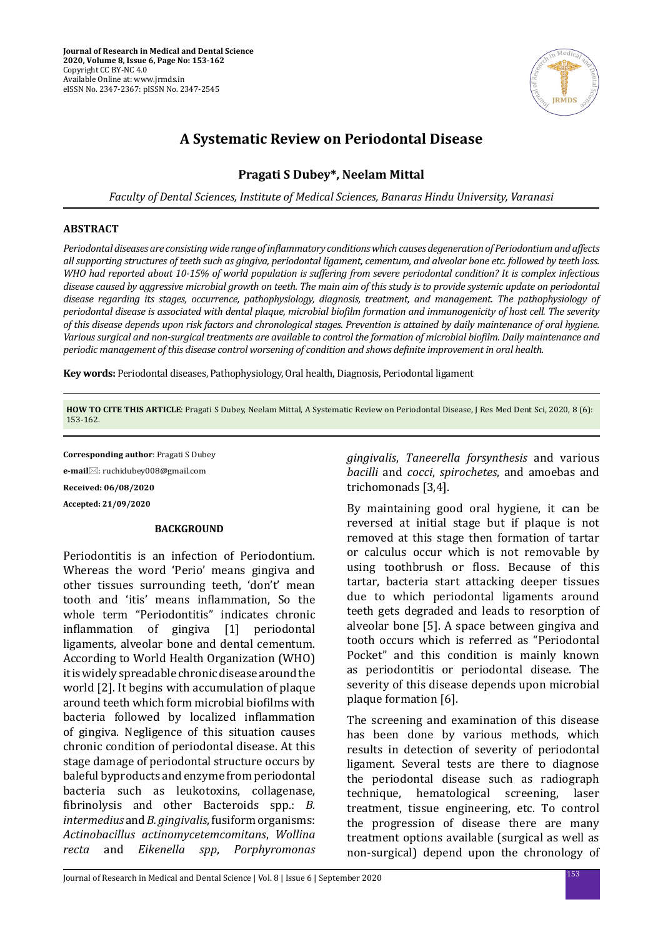

# **A Systematic Review on Periodontal Disease**

# **Pragati S Dubey\*, Neelam Mittal**

*Faculty of Dental Sciences, Institute of Medical Sciences, Banaras Hindu University, Varanasi*

## **ABSTRACT**

*Periodontal diseases are consisting wide range of inflammatory conditions which causes degeneration of Periodontium and affects all supporting structures of teeth such as gingiva, periodontal ligament, cementum, and alveolar bone etc. followed by teeth loss. WHO had reported about 10-15% of world population is suffering from severe periodontal condition? It is complex infectious disease caused by aggressive microbial growth on teeth. The main aim of this study is to provide systemic update on periodontal disease regarding its stages, occurrence, pathophysiology, diagnosis, treatment, and management. The pathophysiology of periodontal disease is associated with dental plaque, microbial biofilm formation and immunogenicity of host cell. The severity of this disease depends upon risk factors and chronological stages. Prevention is attained by daily maintenance of oral hygiene. Various surgical and non-surgical treatments are available to control the formation of microbial biofilm. Daily maintenance and periodic management of this disease control worsening of condition and shows definite improvement in oral health.*

**Key words:** Periodontal diseases, Pathophysiology, Oral health, Diagnosis, Periodontal ligament

**HOW TO CITE THIS ARTICLE**: Pragati S Dubey, Neelam Mittal, A Systematic Review on Periodontal Disease, J Res Med Dent Sci, 2020, 8 (6): 153-162.

**Corresponding author**: Pragati S Dubey **e-mail**⊠: ruchidubey008@gmail.com

**Received: 06/08/2020**

**Accepted: 21/09/2020**

#### **BACKGROUND**

Periodontitis is an infection of Periodontium. Whereas the word 'Perio' means gingiva and other tissues surrounding teeth, 'don't' mean tooth and 'itis' means inflammation, So the whole term "Periodontitis" indicates chronic<br>inflammation of gingiva [1] periodontal inflammation of ligaments, alveolar bone and dental cementum. According to World Health Organization (WHO) it is widely spreadable chronic disease around the world [2]. It begins with accumulation of plaque around teeth which form microbial biofilms with bacteria followed by localized inflammation of gingiva. Negligence of this situation causes chronic condition of periodontal disease. At this stage damage of periodontal structure occurs by baleful byproducts and enzyme from periodontal bacteria such as leukotoxins, collagenase, fibrinolysis and other Bacteroids spp.: *B. intermedius* and *B. gingivalis*, fusiform organisms: *Actinobacillus actinomycetemcomitans*, *Wollina recta* and *Eikenella spp*, *Porphyromonas*  *gingivalis*, *Taneerella forsynthesis* and various *bacilli* and *cocci*, *spirochetes*, and amoebas and trichomonads [3,4].

By maintaining good oral hygiene, it can be reversed at initial stage but if plaque is not removed at this stage then formation of tartar or calculus occur which is not removable by using toothbrush or floss. Because of this tartar, bacteria start attacking deeper tissues due to which periodontal ligaments around teeth gets degraded and leads to resorption of alveolar bone [5]. A space between gingiva and tooth occurs which is referred as "Periodontal Pocket" and this condition is mainly known as periodontitis or periodontal disease. The severity of this disease depends upon microbial plaque formation [6].

The screening and examination of this disease has been done by various methods, which results in detection of severity of periodontal ligament. Several tests are there to diagnose the periodontal disease such as radiograph technique, hematological screening, laser treatment, tissue engineering, etc. To control the progression of disease there are many treatment options available (surgical as well as non-surgical) depend upon the chronology of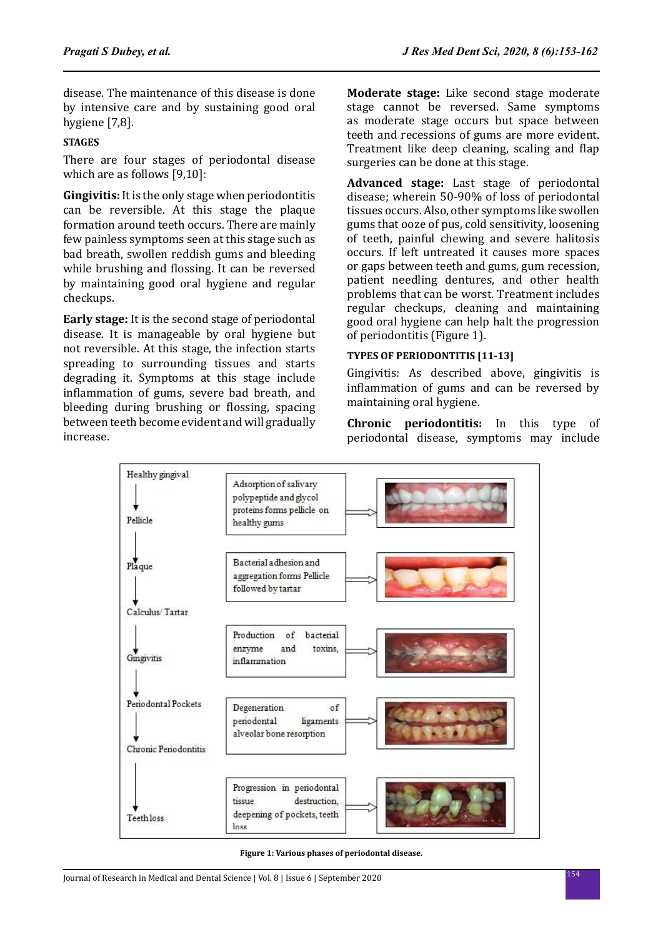disease. The maintenance of this disease is done by intensive care and by sustaining good oral hygiene [7,8].

# **STAGES**

There are four stages of periodontal disease which are as follows [9,10]:

**Gingivitis:** It is the only stage when periodontitis can be reversible. At this stage the plaque formation around teeth occurs. There are mainly few painless symptoms seen at this stage such as bad breath, swollen reddish gums and bleeding while brushing and flossing. It can be reversed by maintaining good oral hygiene and regular checkups.

**Early stage:** It is the second stage of periodontal disease. It is manageable by oral hygiene but not reversible. At this stage, the infection starts spreading to surrounding tissues and starts degrading it. Symptoms at this stage include inflammation of gums, severe bad breath, and bleeding during brushing or flossing, spacing between teeth become evident and will gradually increase.

**Moderate stage:** Like second stage moderate stage cannot be reversed. Same symptoms as moderate stage occurs but space between teeth and recessions of gums are more evident. Treatment like deep cleaning, scaling and flap surgeries can be done at this stage.

**Advanced stage:** Last stage of periodontal disease; wherein 50-90% of loss of periodontal tissues occurs. Also, other symptoms like swollen gums that ooze of pus, cold sensitivity, loosening of teeth, painful chewing and severe halitosis occurs. If left untreated it causes more spaces or gaps between teeth and gums, gum recession, patient needling dentures, and other health problems that can be worst. Treatment includes regular checkups, cleaning and maintaining good oral hygiene can help halt the progression of periodontitis (Figure 1).

# **TYPES OF PERIODONTITIS [11-13]**

Gingivitis: As described above, gingivitis is inflammation of gums and can be reversed by maintaining oral hygiene.

**Chronic periodontitis:** In this type of periodontal disease, symptoms may include



**Figure 1: Various phases of periodontal disease.**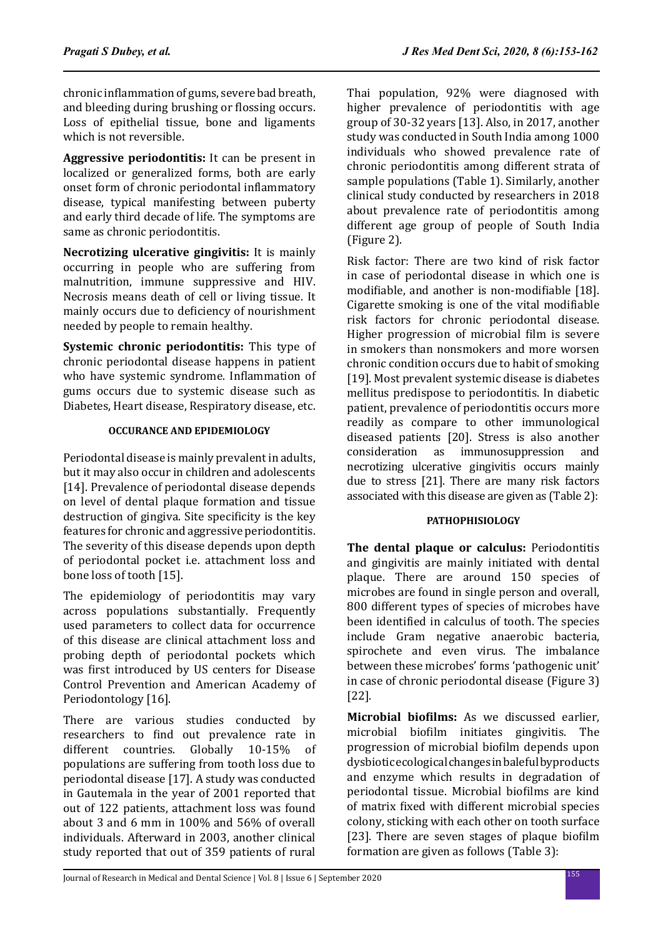chronic inflammation of gums, severe bad breath, and bleeding during brushing or flossing occurs. Loss of epithelial tissue, bone and ligaments which is not reversible.

**Aggressive periodontitis:** It can be present in localized or generalized forms, both are early onset form of chronic periodontal inflammatory disease, typical manifesting between puberty and early third decade of life. The symptoms are same as chronic periodontitis.

**Necrotizing ulcerative gingivitis:** It is mainly occurring in people who are suffering from malnutrition, immune suppressive and HIV. Necrosis means death of cell or living tissue. It mainly occurs due to deficiency of nourishment needed by people to remain healthy.

**Systemic chronic periodontitis:** This type of chronic periodontal disease happens in patient who have systemic syndrome. Inflammation of gums occurs due to systemic disease such as Diabetes, Heart disease, Respiratory disease, etc.

# **OCCURANCE AND EPIDEMIOLOGY**

Periodontal disease is mainly prevalent in adults, but it may also occur in children and adolescents [14]. Prevalence of periodontal disease depends on level of dental plaque formation and tissue destruction of gingiva. Site specificity is the key features for chronic and aggressive periodontitis. The severity of this disease depends upon depth of periodontal pocket i.e. attachment loss and bone loss of tooth [15].

The epidemiology of periodontitis may vary across populations substantially. Frequently used parameters to collect data for occurrence of this disease are clinical attachment loss and probing depth of periodontal pockets which was first introduced by US centers for Disease Control Prevention and American Academy of Periodontology [16].

There are various studies conducted by researchers to find out prevalence rate in different countries. Globally 10-15% of different countries. populations are suffering from tooth loss due to periodontal disease [17]. A study was conducted in Gautemala in the year of 2001 reported that out of 122 patients, attachment loss was found about 3 and 6 mm in 100% and 56% of overall individuals. Afterward in 2003, another clinical study reported that out of 359 patients of rural Thai population, 92% were diagnosed with higher prevalence of periodontitis with age group of 30-32 years [13]. Also, in 2017, another study was conducted in South India among 1000 individuals who showed prevalence rate of chronic periodontitis among different strata of sample populations (Table 1). Similarly, another clinical study conducted by researchers in 2018 about prevalence rate of periodontitis among different age group of people of South India (Figure 2).

Risk factor: There are two kind of risk factor in case of periodontal disease in which one is modifiable, and another is non-modifiable [18]. Cigarette smoking is one of the vital modifiable risk factors for chronic periodontal disease. Higher progression of microbial film is severe in smokers than nonsmokers and more worsen chronic condition occurs due to habit of smoking [19]. Most prevalent systemic disease is diabetes mellitus predispose to periodontitis. In diabetic patient, prevalence of periodontitis occurs more readily as compare to other immunological diseased patients [20]. Stress is also another<br>consideration as immunosuppression and immunosuppression necrotizing ulcerative gingivitis occurs mainly due to stress [21]. There are many risk factors associated with this disease are given as (Table 2):

# **PATHOPHISIOLOGY**

**The dental plaque or calculus:** Periodontitis and gingivitis are mainly initiated with dental plaque. There are around 150 species of microbes are found in single person and overall, 800 different types of species of microbes have been identified in calculus of tooth. The species include Gram negative anaerobic bacteria, spirochete and even virus. The imbalance between these microbes' forms 'pathogenic unit' in case of chronic periodontal disease (Figure 3) [22].

**Microbial biofilms:** As we discussed earlier, microbial biofilm initiates gingivitis. The progression of microbial biofilm depends upon dysbiotic ecological changes in baleful byproducts and enzyme which results in degradation of periodontal tissue. Microbial biofilms are kind of matrix fixed with different microbial species colony, sticking with each other on tooth surface [23]. There are seven stages of plaque biofilm formation are given as follows (Table 3):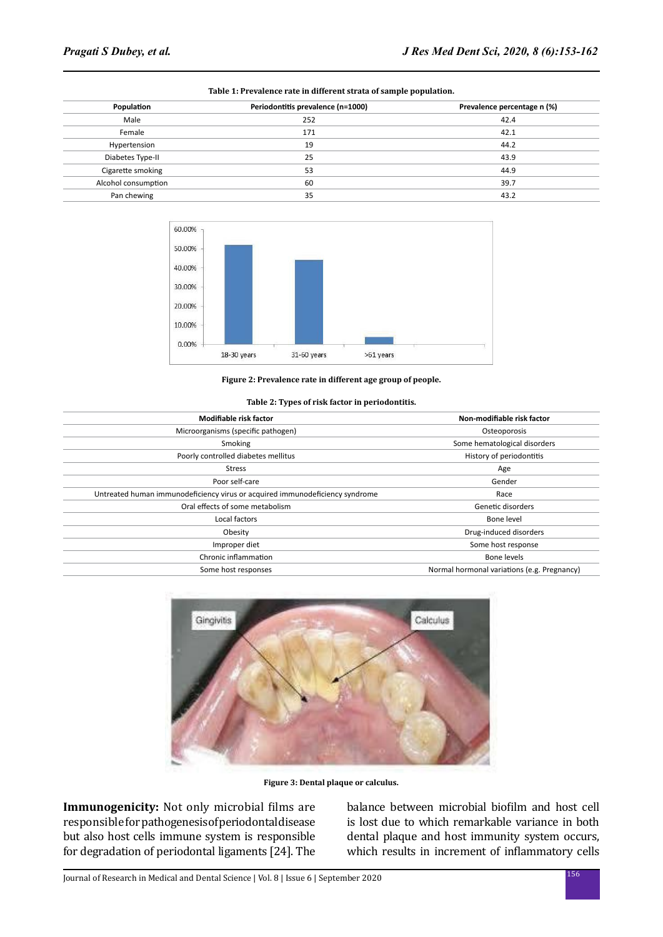| Population          | Periodontitis prevalence (n=1000) | Prevalence percentage n (%) |  |
|---------------------|-----------------------------------|-----------------------------|--|
| Male                | 252                               | 42.4                        |  |
| Female              | 171                               | 42.1                        |  |
| Hypertension        | 19                                | 44.2                        |  |
| Diabetes Type-II    | 25                                | 43.9                        |  |
| Cigarette smoking   | 53                                | 44.9                        |  |
| Alcohol consumption | 60                                | 39.7                        |  |
| Pan chewing         | 35                                | 43.2                        |  |
|                     |                                   |                             |  |





**Figure 2: Prevalence rate in different age group of people.**

#### **Table 2: Types of risk factor in periodontitis.**

| Modifiable risk factor                                                       | Non-modifiable risk factor                  |
|------------------------------------------------------------------------------|---------------------------------------------|
| Microorganisms (specific pathogen)                                           | Osteoporosis                                |
| Smoking                                                                      | Some hematological disorders                |
| Poorly controlled diabetes mellitus                                          | History of periodontitis                    |
| <b>Stress</b>                                                                | Age                                         |
| Poor self-care                                                               | Gender                                      |
| Untreated human immunodeficiency virus or acquired immunodeficiency syndrome | Race                                        |
| Oral effects of some metabolism                                              | Genetic disorders                           |
| Local factors                                                                | Bone level                                  |
| Obesity                                                                      | Drug-induced disorders                      |
| Improper diet                                                                | Some host response                          |
| Chronic inflammation                                                         | Bone levels                                 |
| Some host responses                                                          | Normal hormonal variations (e.g. Pregnancy) |



**Figure 3: Dental plaque or calculus.**

**Immunogenicity:** Not only microbial films are responsible for pathogenesis of periodontal disease but also host cells immune system is responsible for degradation of periodontal ligaments [24]. The balance between microbial biofilm and host cell is lost due to which remarkable variance in both dental plaque and host immunity system occurs, which results in increment of inflammatory cells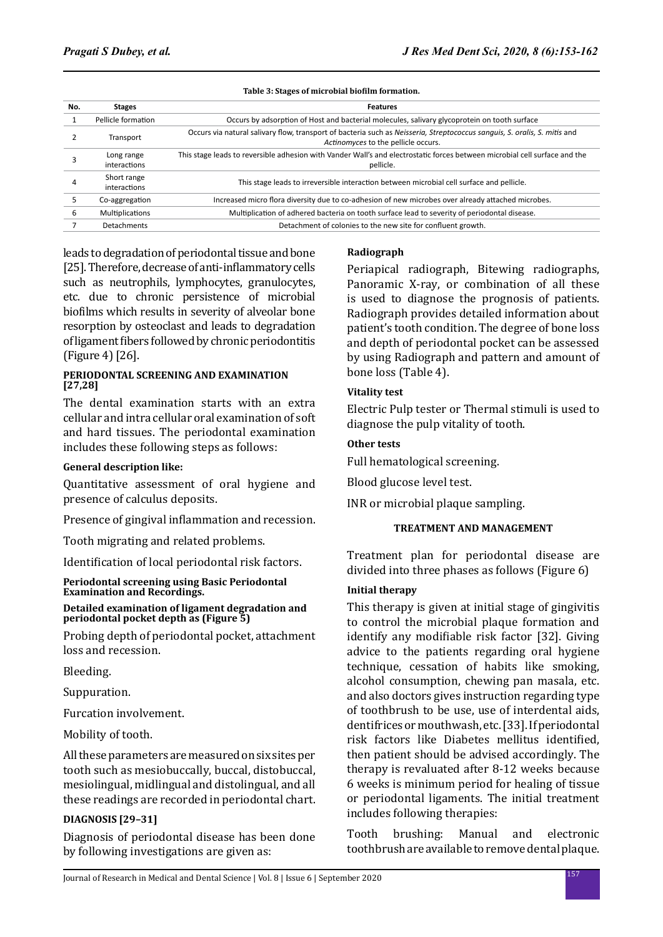#### **Table 3: Stages of microbial biofilm formation.**

| No. | <b>Stages</b>               | <b>Features</b>                                                                                                                                                  |  |
|-----|-----------------------------|------------------------------------------------------------------------------------------------------------------------------------------------------------------|--|
|     | Pellicle formation          | Occurs by adsorption of Host and bacterial molecules, salivary glycoprotein on tooth surface                                                                     |  |
|     | Transport                   | Occurs via natural salivary flow, transport of bacteria such as Neisseria, Streptococcus sanguis, S. oralis, S. mitis and<br>Actinomyces to the pellicle occurs. |  |
|     | Long range<br>interactions  | This stage leads to reversible adhesion with Vander Wall's and electrostatic forces between microbial cell surface and the<br>pellicle.                          |  |
|     | Short range<br>interactions | This stage leads to irreversible interaction between microbial cell surface and pellicle.                                                                        |  |
| 5   | Co-aggregation              | Increased micro flora diversity due to co-adhesion of new microbes over already attached microbes.                                                               |  |
| 6   | Multiplications             | Multiplication of adhered bacteria on tooth surface lead to severity of periodontal disease.                                                                     |  |
|     | Detachments                 | Detachment of colonies to the new site for confluent growth.                                                                                                     |  |

leads to degradation of periodontal tissue and bone [25]. Therefore, decrease of anti-inflammatory cells such as neutrophils, lymphocytes, granulocytes, etc. due to chronic persistence of microbial biofilms which results in severity of alveolar bone resorption by osteoclast and leads to degradation of ligament fibers followed by chronic periodontitis (Figure 4) [26].

## **PERIODONTAL SCREENING AND EXAMINATION [27,28]**

The dental examination starts with an extra cellular and intra cellular oral examination of soft and hard tissues. The periodontal examination includes these following steps as follows:

#### **General description like:**

Quantitative assessment of oral hygiene and presence of calculus deposits.

Presence of gingival inflammation and recession.

Tooth migrating and related problems.

Identification of local periodontal risk factors.

#### **Periodontal screening using Basic Periodontal Examination and Recordings.**

**Detailed examination of ligament degradation and periodontal pocket depth as (Figure 5)**

Probing depth of periodontal pocket, attachment loss and recession.

Bleeding.

Suppuration.

Furcation involvement.

Mobility of tooth.

All these parameters are measured on six sites per tooth such as mesiobuccally, buccal, distobuccal, mesiolingual, midlingual and distolingual, and all these readings are recorded in periodontal chart.

## **DIAGNOSIS [29–31]**

Diagnosis of periodontal disease has been done by following investigations are given as:

#### **Radiograph**

Periapical radiograph, Bitewing radiographs, Panoramic X-ray, or combination of all these is used to diagnose the prognosis of patients. Radiograph provides detailed information about patient's tooth condition. The degree of bone loss and depth of periodontal pocket can be assessed by using Radiograph and pattern and amount of bone loss (Table 4).

## **Vitality test**

Electric Pulp tester or Thermal stimuli is used to diagnose the pulp vitality of tooth.

## **Other tests**

Full hematological screening.

Blood glucose level test.

INR or microbial plaque sampling.

## **TREATMENT AND MANAGEMENT**

Treatment plan for periodontal disease are divided into three phases as follows (Figure 6)

# **Initial therapy**

This therapy is given at initial stage of gingivitis to control the microbial plaque formation and identify any modifiable risk factor [32]. Giving advice to the patients regarding oral hygiene technique, cessation of habits like smoking, alcohol consumption, chewing pan masala, etc. and also doctors gives instruction regarding type of toothbrush to be use, use of interdental aids, dentifrices or mouthwash, etc. [33]. If periodontal risk factors like Diabetes mellitus identified, then patient should be advised accordingly. The therapy is revaluated after 8-12 weeks because 6 weeks is minimum period for healing of tissue or periodontal ligaments. The initial treatment includes following therapies:

Tooth brushing: Manual and electronic toothbrush are available to remove dental plaque.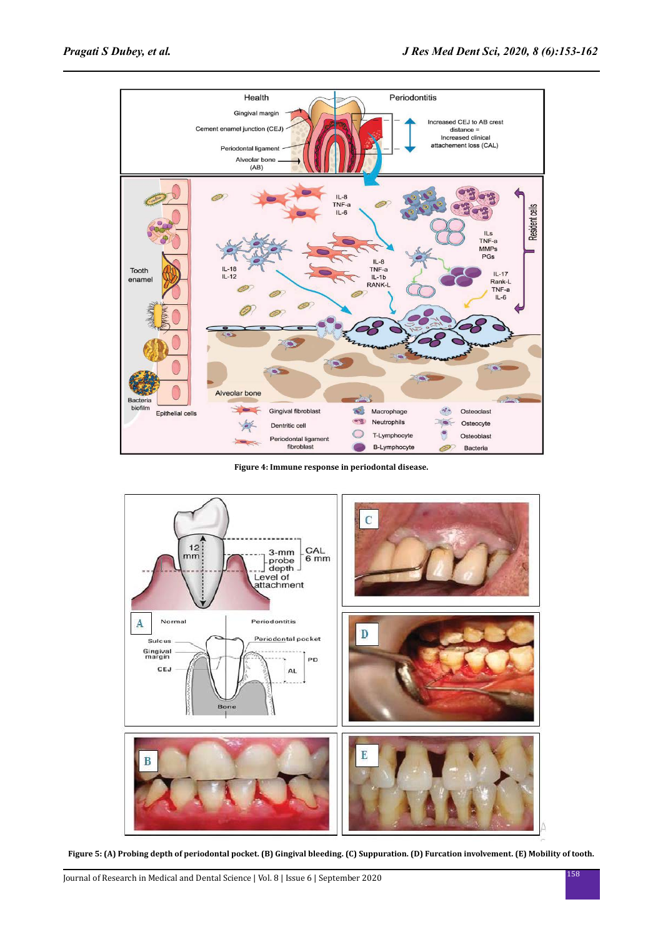

**Figure 4: Immune response in periodontal disease.**



**Figure 5: (A) Probing depth of periodontal pocket. (B) Gingival bleeding. (C) Suppuration. (D) Furcation involvement. (E) Mobility of tooth.**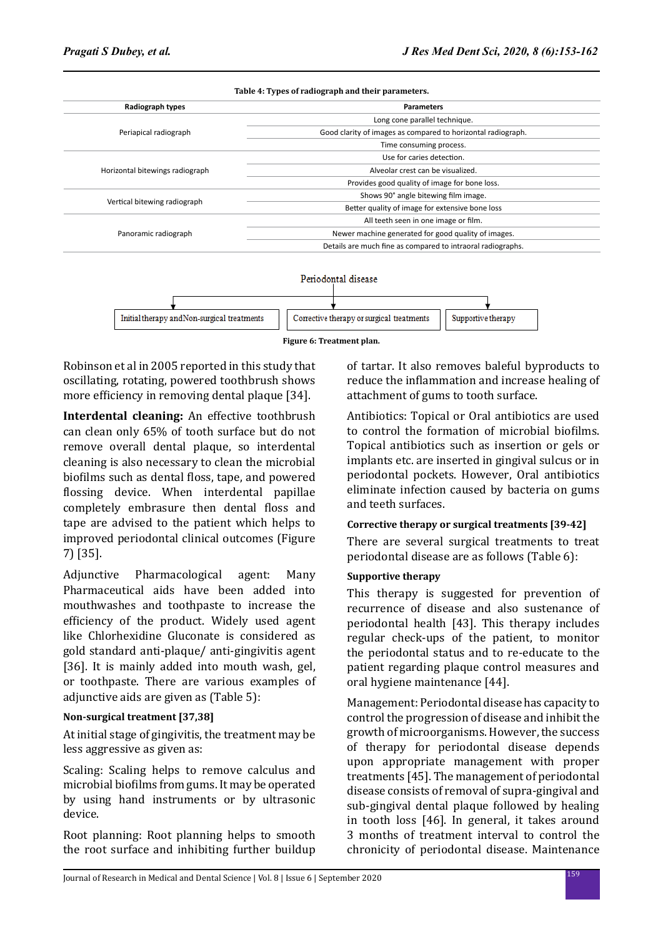| Radiograph types                | <b>Parameters</b>                                            |
|---------------------------------|--------------------------------------------------------------|
|                                 | Long cone parallel technique.                                |
| Periapical radiograph           | Good clarity of images as compared to horizontal radiograph. |
|                                 | Time consuming process.                                      |
|                                 | Use for caries detection.                                    |
| Horizontal bitewings radiograph | Alveolar crest can be visualized.                            |
|                                 | Provides good quality of image for bone loss.                |
|                                 | Shows 90° angle bitewing film image.                         |
| Vertical bitewing radiograph    | Better quality of image for extensive bone loss              |
|                                 | All teeth seen in one image or film.                         |
| Panoramic radiograph            | Newer machine generated for good quality of images.          |
|                                 | Details are much fine as compared to intraoral radiographs.  |



**Figure 6: Treatment plan.**

Robinson et al in 2005 reported in this study that oscillating, rotating, powered toothbrush shows more efficiency in removing dental plaque [34].

**Interdental cleaning:** An effective toothbrush can clean only 65% of tooth surface but do not remove overall dental plaque, so interdental cleaning is also necessary to clean the microbial biofilms such as dental floss, tape, and powered flossing device. When interdental papillae completely embrasure then dental floss and tape are advised to the patient which helps to improved periodontal clinical outcomes (Figure 7) [35].

Adjunctive Pharmacological agent: Many Pharmaceutical aids have been added into mouthwashes and toothpaste to increase the efficiency of the product. Widely used agent like Chlorhexidine Gluconate is considered as gold standard anti-plaque/ anti-gingivitis agent [36]. It is mainly added into mouth wash, gel, or toothpaste. There are various examples of adjunctive aids are given as (Table 5):

# **Non-surgical treatment [37,38]**

At initial stage of gingivitis, the treatment may be less aggressive as given as:

Scaling: Scaling helps to remove calculus and microbial biofilms from gums. It may be operated by using hand instruments or by ultrasonic device.

Root planning: Root planning helps to smooth the root surface and inhibiting further buildup of tartar. It also removes baleful byproducts to reduce the inflammation and increase healing of attachment of gums to tooth surface.

Antibiotics: Topical or Oral antibiotics are used to control the formation of microbial biofilms. Topical antibiotics such as insertion or gels or implants etc. are inserted in gingival sulcus or in periodontal pockets. However, Oral antibiotics eliminate infection caused by bacteria on gums and teeth surfaces.

# **Corrective therapy or surgical treatments [39-42]**

There are several surgical treatments to treat periodontal disease are as follows (Table 6):

# **Supportive therapy**

This therapy is suggested for prevention of recurrence of disease and also sustenance of periodontal health [43]. This therapy includes regular check-ups of the patient, to monitor the periodontal status and to re-educate to the patient regarding plaque control measures and oral hygiene maintenance [44].

Management: Periodontal disease has capacity to control the progression of disease and inhibit the growth of microorganisms. However, the success of therapy for periodontal disease depends upon appropriate management with proper treatments [45]. The management of periodontal disease consists of removal of supra-gingival and sub-gingival dental plaque followed by healing in tooth loss [46]. In general, it takes around 3 months of treatment interval to control the chronicity of periodontal disease. Maintenance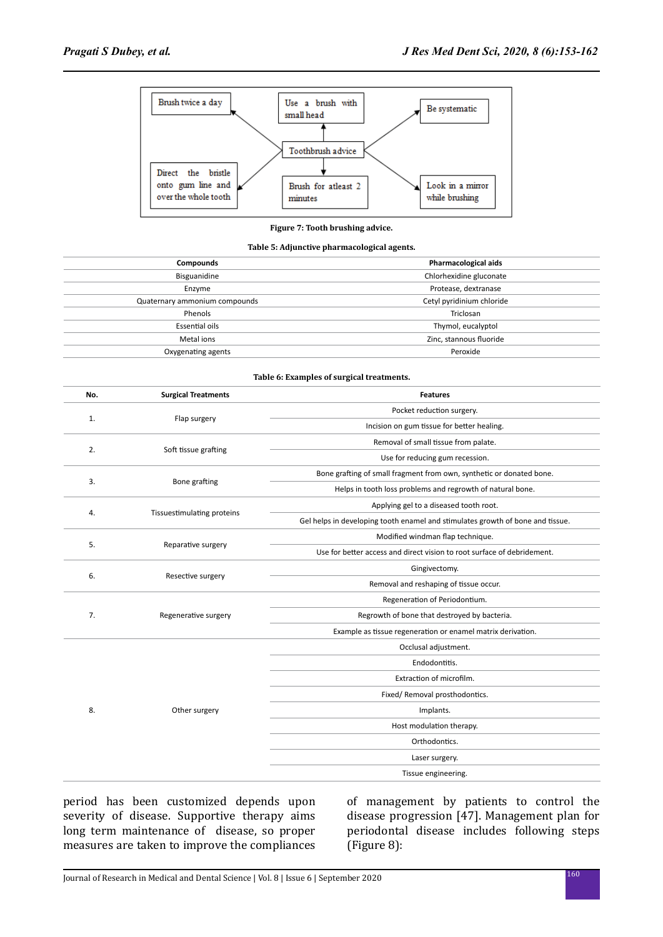

#### **Figure 7: Tooth brushing advice.**

#### **Table 5: Adjunctive pharmacological agents.**

| Compounds                     | Pharmacological aids      |
|-------------------------------|---------------------------|
| Bisguanidine                  | Chlorhexidine gluconate   |
| Enzyme                        | Protease, dextranase      |
| Quaternary ammonium compounds | Cetyl pyridinium chloride |
| Phenols                       | Triclosan                 |
| Essential oils                | Thymol, eucalyptol        |
| Metal ions                    | Zinc, stannous fluoride   |
| Oxygenating agents            | Peroxide                  |

#### **Table 6: Examples of surgical treatments.**

| No. | <b>Surgical Treatments</b> | <b>Features</b>                                                                |
|-----|----------------------------|--------------------------------------------------------------------------------|
| 1.  |                            | Pocket reduction surgery.                                                      |
|     | Flap surgery               | Incision on gum tissue for better healing.                                     |
| 2.  | Soft tissue grafting       | Removal of small tissue from palate.                                           |
|     |                            | Use for reducing gum recession.                                                |
| 3.  | <b>Bone grafting</b>       | Bone grafting of small fragment from own, synthetic or donated bone.           |
|     |                            | Helps in tooth loss problems and regrowth of natural bone.                     |
| 4.  |                            | Applying gel to a diseased tooth root.                                         |
|     | Tissuestimulating proteins | Gel helps in developing tooth enamel and stimulates growth of bone and tissue. |
| 5.  |                            | Modified windman flap technique.                                               |
|     | Reparative surgery         | Use for better access and direct vision to root surface of debridement.        |
| 6.  | Resective surgery          | Gingivectomy.                                                                  |
|     |                            | Removal and reshaping of tissue occur.                                         |
| 7.  |                            | Regeneration of Periodontium.                                                  |
|     | Regenerative surgery       | Regrowth of bone that destroyed by bacteria.                                   |
|     |                            | Example as tissue regeneration or enamel matrix derivation.                    |
|     |                            | Occlusal adjustment.                                                           |
|     |                            | Endodontitis.                                                                  |
|     | Other surgery              | Extraction of microfilm.                                                       |
| 8.  |                            | Fixed/ Removal prosthodontics.                                                 |
|     |                            | Implants.                                                                      |
|     |                            | Host modulation therapy.                                                       |
|     |                            | Orthodontics.                                                                  |
|     |                            | Laser surgery.                                                                 |
|     |                            | Tissue engineering.                                                            |

period has been customized depends upon severity of disease. Supportive therapy aims long term maintenance of disease, so proper measures are taken to improve the compliances of management by patients to control the disease progression [47]. Management plan for periodontal disease includes following steps (Figure 8):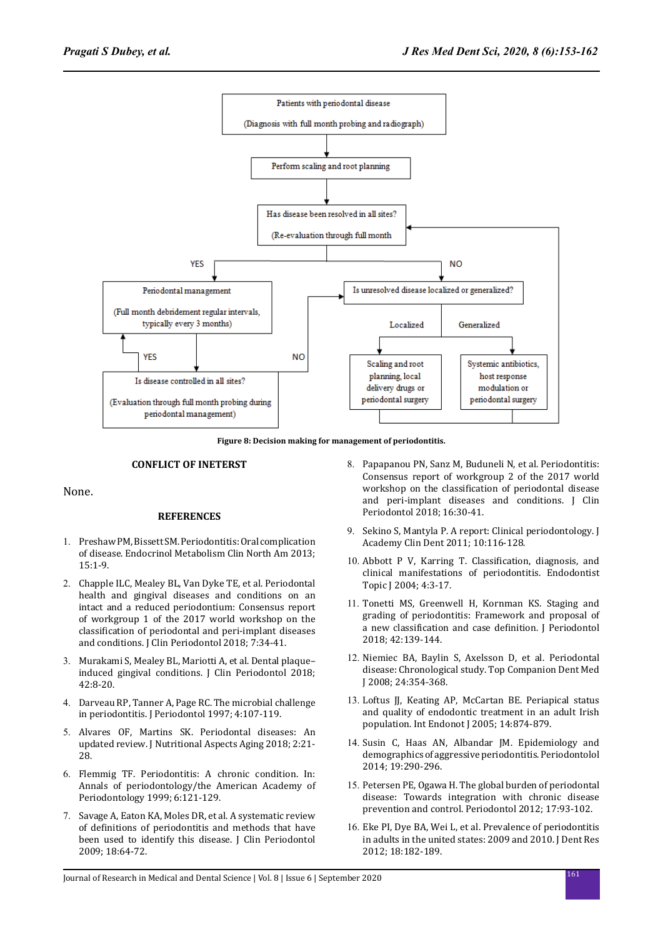

**Figure 8: Decision making for management of periodontitis.**

#### **CONFLICT OF INETERST**

None.

#### **REFERENCES**

- 1. Preshaw PM, Bissett SM. Periodontitis: Oral complication of disease. Endocrinol Metabolism Clin North Am 2013; 15:1-9.
- 2. Chapple ILC, Mealey BL, Van Dyke TE, et al. Periodontal health and gingival diseases and conditions on an intact and a reduced periodontium: Consensus report of workgroup 1 of the 2017 world workshop on the classification of periodontal and peri-implant diseases and conditions. J Clin Periodontol 2018; 7:34-41.
- 3. Murakami S, Mealey BL, Mariotti A, et al. Dental plaque– induced gingival conditions. J Clin Periodontol 2018; 42:8-20.
- 4. Darveau RP, Tanner A, Page RC. The microbial challenge in periodontitis. J Periodontol 1997; 4:107-119.
- 5. Alvares OF, Martins SK. Periodontal diseases: An updated review. J Nutritional Aspects Aging 2018; 2:21- 28.
- 6. Flemmig TF. Periodontitis: A chronic condition. In: Annals of periodontology/the American Academy of Periodontology 1999; 6:121-129.
- 7. Savage A, Eaton KA, Moles DR, et al. A systematic review of definitions of periodontitis and methods that have been used to identify this disease. J Clin Periodontol 2009; 18:64-72.
- 8. Papapanou PN, Sanz M, Buduneli N, et al. Periodontitis: Consensus report of workgroup 2 of the 2017 world workshop on the classification of periodontal disease and peri-implant diseases and conditions. J Clin Periodontol 2018; 16:30-41.
- 9. Sekino S, Mantyla P. A report: Clinical periodontology. J Academy Clin Dent 2011; 10:116-128.
- 10. Abbott P V, Karring T. Classification, diagnosis, and clinical manifestations of periodontitis. Endodontist Topic J 2004; 4:3-17.
- 11. Tonetti MS, Greenwell H, Kornman KS. Staging and grading of periodontitis: Framework and proposal of a new classification and case definition. J Periodontol 2018; 42:139-144.
- 12. Niemiec BA, Baylin S, Axelsson D, et al. Periodontal disease: Chronological study. Top Companion Dent Med J 2008; 24:354-368.
- 13. Loftus JJ, Keating AP, McCartan BE. Periapical status and quality of endodontic treatment in an adult Irish population. Int Endonot J 2005; 14:874-879.
- 14. Susin C, Haas AN, Albandar JM. Epidemiology and demographics of aggressive periodontitis. Periodontolol 2014; 19:290-296.
- 15. Petersen PE, Ogawa H. The global burden of periodontal disease: Towards integration with chronic disease prevention and control. Periodontol 2012; 17:93-102.
- 16. Eke PI, Dye BA, Wei L, et al. Prevalence of periodontitis in adults in the united states: 2009 and 2010. J Dent Res 2012; 18:182-189.